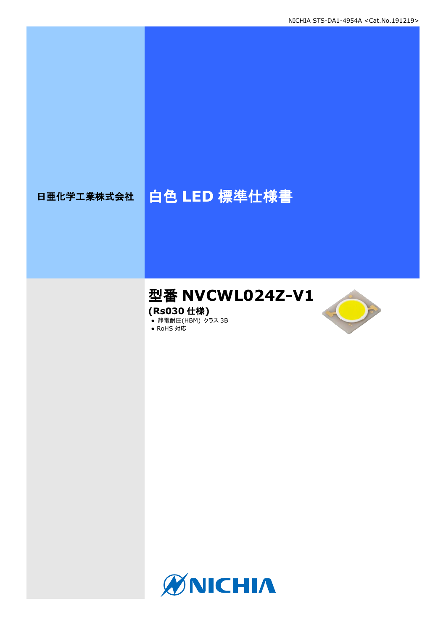# 日亜化学工業株式会社 | 白色 LED 標準仕様書

# 型番 **NVCWL024Z-V1**

**(Rs030** 仕様**)**

**● 静電耐圧(HBM) クラス 3B** 





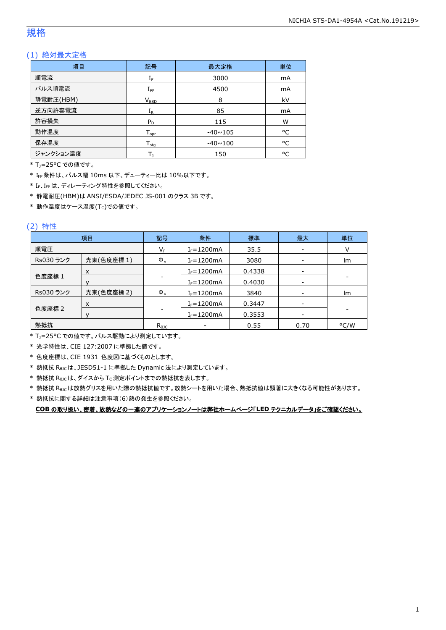## 規格

## (1) 絶対最大定格

| 項目        | 記号                 | 最大定格           | 単位 |
|-----------|--------------------|----------------|----|
| 順電流       | $I_F$              | 3000           | mA |
| パルス順電流    | $I_{\mathsf{FP}}$  | 4500           | mA |
| 静電耐圧(HBM) | V <sub>ESD</sub>   | 8              | kV |
| 逆方向許容電流   | $I_{R}$            | 85             | mA |
| 許容損失      | $P_D$              | 115            | W  |
| 動作温度      | $T_{\mathsf{opr}}$ | $-40 \sim 105$ | °C |
| 保存温度      | $T_{\rm stq}$      | $-40 \sim 100$ | °C |
| ジャンクション温度 |                    | 150            | °C |

\* TJ=25°C での値です。

\* IFP条件は、パルス幅 10ms 以下、デューティー比は 10%以下です。

\* IF、IFpは、ディレーティング特性を参照してください。

\* 静電耐圧(HBM)は ANSI/ESDA/JEDEC JS-001 のクラス 3B です。

 $*$ 動作温度はケース温度(Tc)での値です。

## (2) 特性

|           | 項目         | 記号             | 条件             | 標準     | 最大                       | 単位   |
|-----------|------------|----------------|----------------|--------|--------------------------|------|
| 順電圧       |            | $V_{\sf F}$    | $I_F = 1200mA$ | 35.5   | $\overline{\phantom{a}}$ | v    |
| Rs030 ランク | 光束(色度座標 1) | $\Phi_{v}$     | $I_F = 1200mA$ | 3080   |                          | Im   |
|           | $\times$   |                | $I_F = 1200mA$ | 0.4338 |                          |      |
| 色度座標 1    |            |                | $I_F = 1200mA$ | 0.4030 |                          |      |
| Rs030 ランク | 光束(色度座標 2) | $\Phi_{\rm v}$ | $I_F = 1200mA$ | 3840   |                          | Im   |
|           | $\times$   |                | $I_F = 1200mA$ | 0.3447 |                          |      |
| 色度座標 2    |            |                | $I_F = 1200mA$ | 0.3553 |                          |      |
| 熱抵抗       |            | $R_{\theta$ JC |                | 0.55   | 0.70                     | °C/W |

\* TJ=25°C での値です。パルス駆動により測定しています。

\* 光学特性は、CIE 127:2007 に準拠した値です。

\* 色度座標は、CIE 1931 色度図に基づくものとします。

\* 熱抵抗 RθJCは、JESD51-1 に準拠した Dynamic 法により測定しています。

 $*$  熱抵抗  $R_{\theta JC}$ は、ダイスから Tc 測定ポイントまでの熱抵抗を表します。

\* 熱抵抗 R<sub>0JC</sub>は放熱グリスを用いた際の熱抵抗値です。放熱シートを用いた場合、熱抵抗値は顕著に大きくなる可能性があります。

\* 熱抵抗に関する詳細は注意事項(6)熱の発生を参照ください。

**COB** の取り扱い、密着、放熱などの一連のアプリケーションノートは弊社ホームページ「**LED** テクニカルデータ」をご確認ください。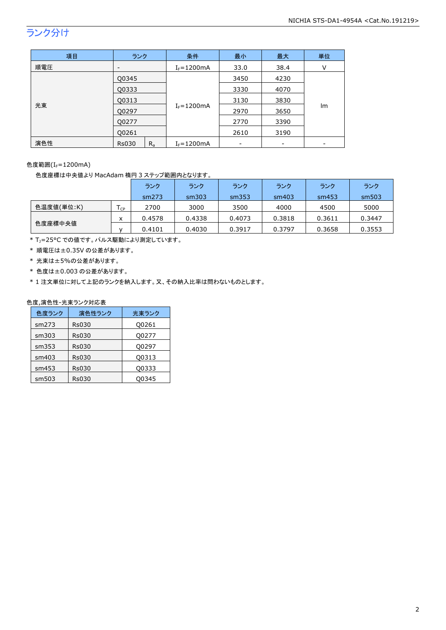## ランク分け

| 項目  | ランク                      | 条件             | 最小   | 最大   | 単位 |
|-----|--------------------------|----------------|------|------|----|
| 順電圧 | $\overline{\phantom{a}}$ | $I_F = 1200mA$ | 33.0 | 38.4 | V  |
| 光束  | Q0345                    |                | 3450 | 4230 |    |
|     | Q0333                    |                | 3330 | 4070 |    |
|     | Q0313                    |                | 3130 | 3830 |    |
|     | Q0297                    | $I_F = 1200mA$ | 2970 | 3650 | lm |
|     | Q0277                    |                | 2770 | 3390 |    |
|     | Q0261                    |                | 2610 | 3190 |    |
| 演色性 | $R_{a}$<br><b>Rs030</b>  | $I_F = 1200mA$ |      |      |    |

色度範囲(I<sub>F</sub>=1200mA)

色度座標は中央値より MacAdam 楕円 3 ステップ範囲内となります。

|            |        | ランク    | ランク    | ランク    | ランク    | ランク    | ランク    |
|------------|--------|--------|--------|--------|--------|--------|--------|
|            |        | sm273  | sm303  | sm353  | sm403  | sm453  | sm503  |
| 色温度値(単位:K) | $I$ CP | 2700   | 3000   | 3500   | 4000   | 4500   | 5000   |
|            | x      | 0.4578 | 0.4338 | 0.4073 | 0.3818 | 0.3611 | 0.3447 |
| 色度座標中央値    |        | 0.4101 | 0.4030 | 0.3917 | 0.3797 | 0.3658 | 0.3553 |

\* T<sub>J</sub>=25°C での値です。パルス駆動により測定しています。

\* 順電圧は±0.35V の公差があります。

- \* 光束は±5%の公差があります。
- \* 色度は±0.003 の公差があります。

\* 1 注文単位に対して上記のランクを納入します。又、その納入比率は問わないものとします。

## 色度,演色性-光束ランク対応表

| 色度ランク | 演色性ランク       | 光東ランク |
|-------|--------------|-------|
| sm273 | <b>Rs030</b> | Q0261 |
| sm303 | <b>Rs030</b> | Q0277 |
| sm353 | <b>Rs030</b> | Q0297 |
| sm403 | <b>Rs030</b> | Q0313 |
| sm453 | <b>Rs030</b> | Q0333 |
| sm503 | <b>Rs030</b> | 00345 |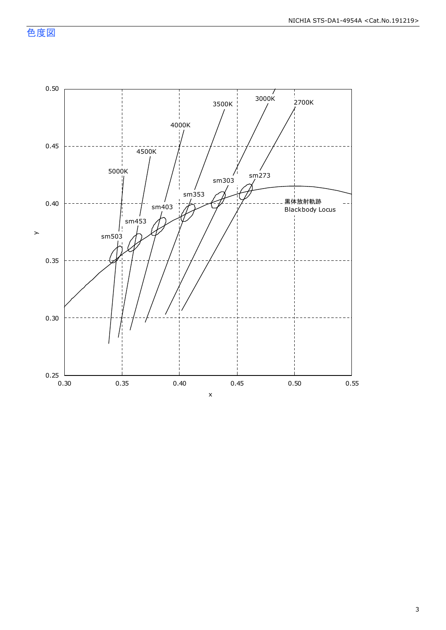色度図

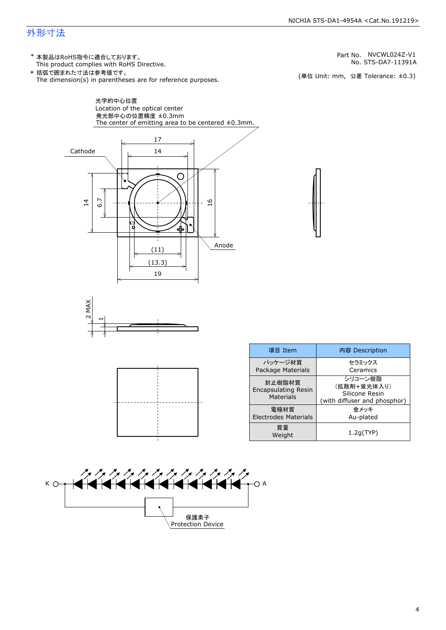## 外形寸法

\* 本製品はRoHS指令に適合しております。<br>
This product complies with RoHS Directive.<br>
\* 括弧で囲まれた寸法は参考値です。<br>
The dimension(s) in parentheses are for reference purposes. (単位 Unit: mm, 公差 Tolerance: ±0.3)

17 14  $\bigcirc$ 6.7  $\overline{6}$ ╬ Anode  $\frac{(11)}{(13.3)}$ 19 **MAX**  $\scriptstyle\sim$ 項目 Item 内容 Description パッケージ材質 セラミックス Package Materials Ceramics シリコーン樹脂 封止樹脂材質 (拡散剤+蛍光体入り) Encapsulating Resin Silicone Resin Materials (with diffuser and phosphor) 電極材質 金メッキ Electrodes Materials Au-plated 質量 1.2g(TYP) Weight



| AAAAAAAAAAAAA<br>1444444444444 |
|--------------------------------|
| 保護素ヨ<br>tection Device         |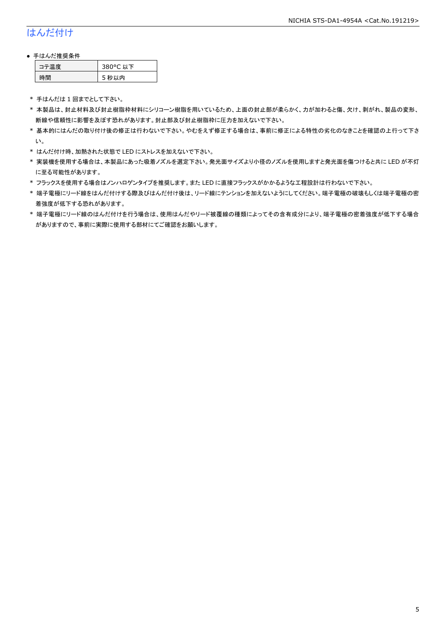## はんだ付け

#### ● 手はんだ推奨条件

| ⊫■唐 | 80°C 以下 |
|-----|---------|
| :間  | 5 秒以内   |

\* 手はんだは 1 回までとして下さい。

- \* 本製品は、封止材料及び封止樹脂枠材料にシリコーン樹脂を用いているため、上面の封止部が柔らかく、力が加わると傷、欠け、剥がれ、製品の変形、 断線や信頼性に影響を及ぼす恐れがあります。封止部及び封止樹脂枠に圧力を加えないで下さい。
- \* 基本的にはんだの取り付け後の修正は行わないで下さい。やむをえず修正する場合は、事前に修正による特性の劣化のなきことを確認の上行って下さ い。
- \* はんだ付け時、加熱された状態で LED にストレスを加えないで下さい。
- \* 実装機を使用する場合は、本製品にあった吸着ノズルを選定下さい。発光面サイズより小径のノズルを使用しますと発光面を傷つけると共に LED が不灯 に至る可能性があります。
- \* フラックスを使用する場合はノンハロゲンタイプを推奨します。また LED に直接フラックスがかかるような工程設計は行わないで下さい。
- \* 端子電極にリード線をはんだ付けする際及びはんだ付け後は、リード線にテンションを加えないようにしてください。端子電極の破壊もしくは端子電極の密 着強度が低下する恐れがあります。
- \* 端子電極にリード線のはんだ付けを行う場合は、使用はんだやリード被覆線の種類によってその含有成分により、端子電極の密着強度が低下する場合 がありますので、事前に実際に使用する部材にてご確認をお願いします。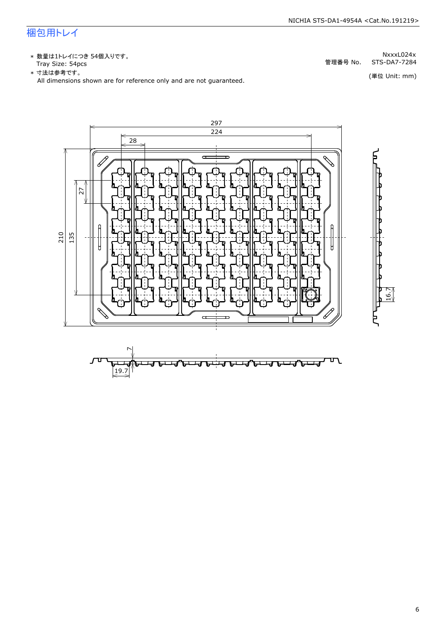## 梱包用トレイ

\* 数量は1トレイにつき 54個入りです。<br>Tray Size: 54pcs

\* 数量は1トレイにつき 54個入りです。<br>Tray Size: 54pcs<br>\* 寸法は参考です。<br>All dimensions shown are for reference only and are not guaranteed. \* づはは はいいい (単位 Unit: mm)<br>All dimensions shown are for reference only and are not guaranteed.



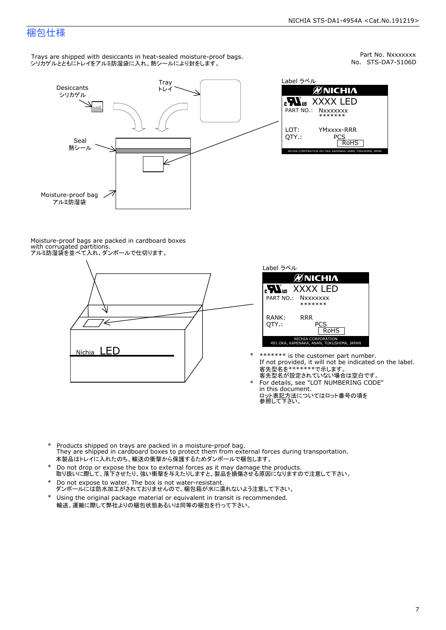## 梱包仕様

Trays are shipped with desiccants in heat-sealed moisture-proof bags. シリカゲルとともにトレイをアルミ防湿袋に入れ、熱シールにより封をします。



Part No. Nxxxxxxx<br>No. STS-DA7-5106D

|               |                                                                  | No. STS-DA |
|---------------|------------------------------------------------------------------|------------|
| Label ラベル     |                                                                  |            |
|               | <b>ØNICHIA</b>                                                   |            |
|               | <b>N</b> <sub>us</sub> XXXX LED<br>PART NO.: NXXXXXXX<br>******* |            |
| LOT:<br>OTY.: | <b>YMxxxx-RRR</b><br>PCS<br><b>RoHS</b>                          |            |
|               | NICHIA CORPORATION 491 OKA, KAMINAKA, ANAN, TOKUSHIMA, JAPAN     |            |

Moisture-proof bags are packed in cardboard boxes with corrugated partitions. アルミ防湿袋を並べて入れ、ダンボールで仕切ります。





- \* \*\*\*\*\*\*\* is the customer part number.<br>If not provided, it will not be indicated on the label.<br>客先型名が設定されていない場合は空白です。
	- For details, see "LOT NUMBERING CODE"<br>in this document.<br>ロット表記方法についてはロット番号の項を<br>参照して下さい。
- \* Products shipped on trays are packed in a moisture-proof bag.<br>They are shipped in cardboard boxes to protect them from external forces du<br>本製品はトレイに入れたのち、輸送の衝撃から保護するためダンボールで梱包します。<br>\* Do not drop or expose the box to exter Products shipped on trays are packed in a moisture-proof bag. They are shipped in cardboard boxes to protect them from external forces during transportation. 本製品はトレイに入れたのち、輸送の衝撃から保護するためダンボールで梱包します。
- Do not drop or expose the box to external forces as it may damage the products. \*
- 取り扱いに際して、落下させたり、強い衝撃を与えたりしますと、製品を損傷させる原因になりますので注意して下さい。 Do not expose to water. The box is not water-resistant. \*
- ダンボールには防水加工がされておりませんので、梱包箱が水に濡れないよう注意して下さい。 \*
- 輸送、運搬に際して弊社よりの梱包状態あるいは同等の梱包を行って下さい。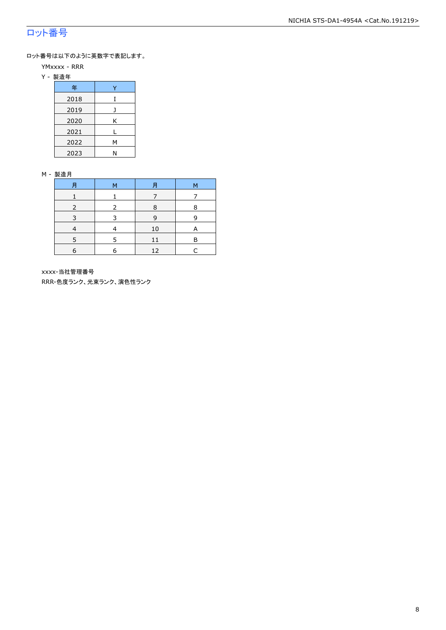## ロット番号

ロット番号は以下のように英数字で表記します。

- YMxxxx RRR
- Y 製造年

| 年    |   |
|------|---|
| 2018 | T |
| 2019 |   |
| 2020 | Κ |
| 2021 |   |
| 2022 | М |
| 2023 | N |

#### M - 製造月

| 月 | 月<br>M |    | М |
|---|--------|----|---|
|   |        |    |   |
|   | 8      |    | 8 |
|   |        | 9  | 9 |
|   |        | 10 | A |
|   | 5      | 11 | R |
| 6 | 6      | 12 |   |

xxxx-当社管理番号

RRR-色度ランク、光束ランク、演色性ランク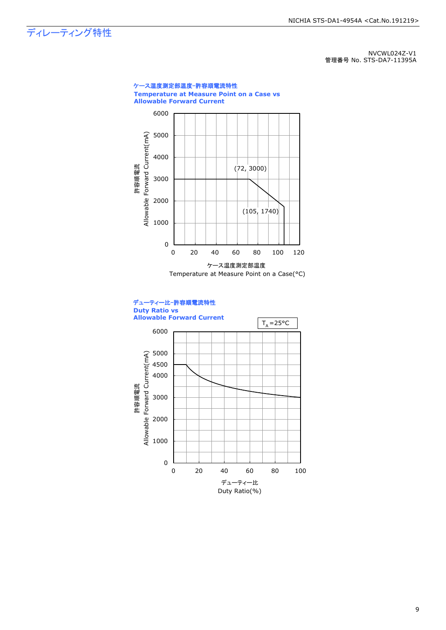ディレーティング特性

NVCWL024Z-V1 管理番号 No. STS-DA7-11395A



Duty Ratio(%)

9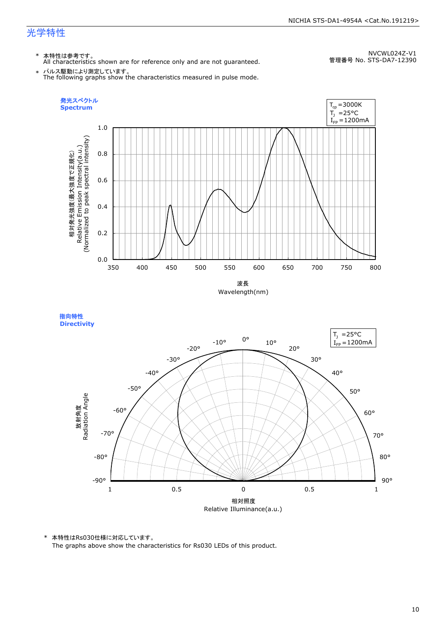## 光学特性

\* 本特性は参考です。 All characteristics shown are for reference only and are not guaranteed.

NVCWL024Z-V1 管理番号 No. STS-DA7-12390

\* パルス駆動により測定しています。 The following graphs show the characteristics measured in pulse mode.







\* 本特性はRs030仕様に対応しています。

The graphs above show the characteristics for Rs030 LEDs of this product.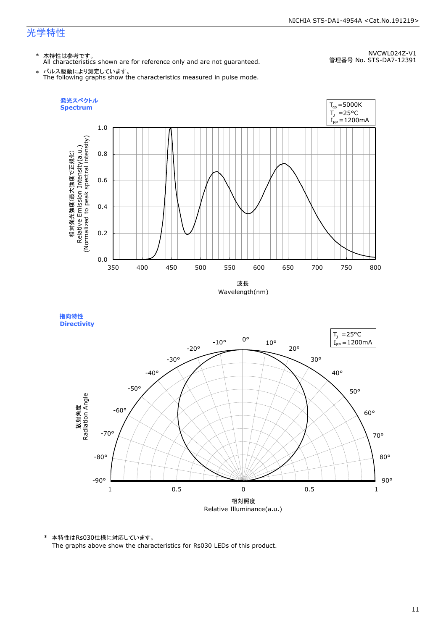## 光学特性

\* 本特性は参考です。 All characteristics shown are for reference only and are not guaranteed.

NVCWL024Z-V1 管理番号 No. STS-DA7-12391

\* パルス駆動により測定しています。 The following graphs show the characteristics measured in pulse mode.





\* 本特性はRs030仕様に対応しています。

The graphs above show the characteristics for Rs030 LEDs of this product.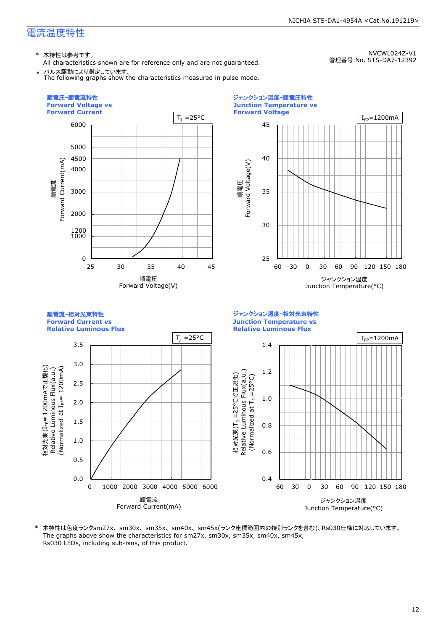\* 本特性は参考です。

All characteristics shown are for reference only and are not guaranteed.

NVCWL024Z-V1 管理番号 No. STS-DA7-12392





本特性は色度ランクsm27x、sm30x、sm35x、sm40x、sm45x(ランク座標範囲内の特別ランクを含む)、Rs030仕様に対応しています。 The graphs above show the characteristics for sm27x, sm30x, sm35x, sm40x, sm45x, Rs030 LEDs, including sub-bins, of this product.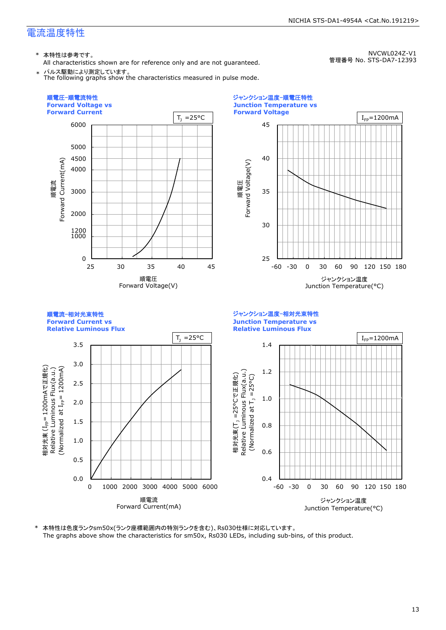\* 本特性は参考です。

All characteristics shown are for reference only and are not guaranteed. \* パルス駆動により測定しています。

NVCWL024Z-V1 管理番号 No. STS-DA7-12393





本特性は色度ランクsm50x(ランク座標範囲内の特別ランクを含む)、Rs030仕様に対応しています。 The graphs above show the characteristics for sm50x, Rs030 LEDs, including sub-bins, of this product.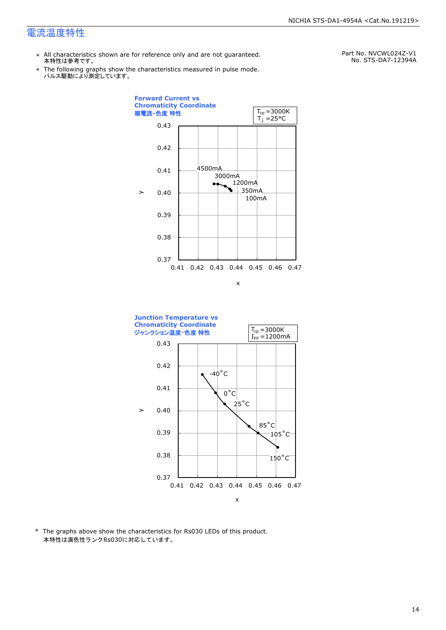- \* All characteristics shown are for reference only and are not guaranteed. 本特性は参考です。
- \* Ine following graphs show tr<br>パルス駆動により測定しています。 The following graphs show the characteristics measured in pulse mode.

Part No. NVCWL024Z-V1 No. STS-DA7-12394A





\* The graphs above show the characteristics for Rs030 LEDs of this product. 本特性は演色性ランクRs030に対応しています。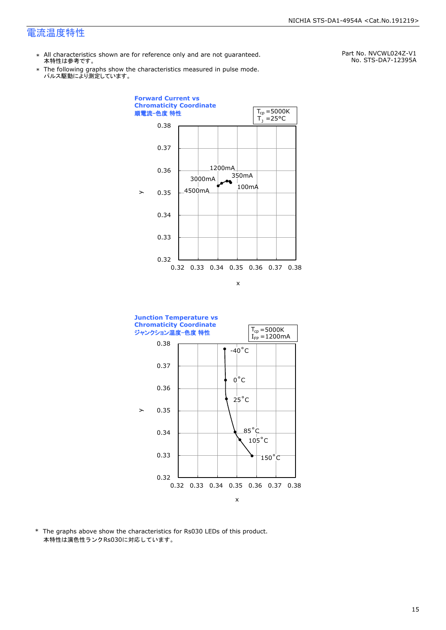- \* All characteristics shown are for reference only and are not guaranteed. 本特性は参考です。
- \* Ine following graphs show tr<br>パルス駆動により測定しています。 The following graphs show the characteristics measured in pulse mode.

Part No. NVCWL024Z-V1 No. STS-DA7-12395A





\* The graphs above show the characteristics for Rs030 LEDs of this product. 本特性は演色性ランクRs030に対応しています。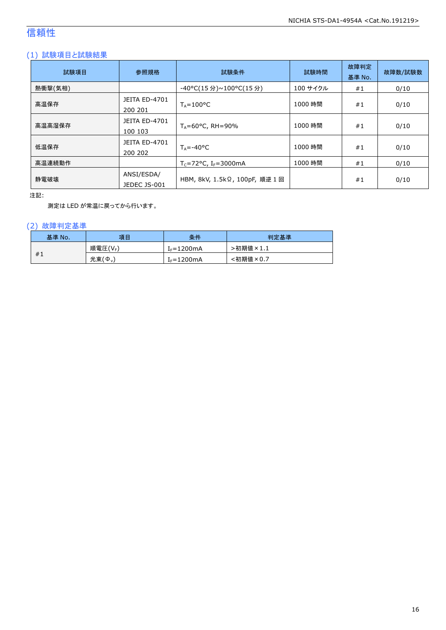## 信頼性

## (1) 試験項目と試験結果

| 試験項目    | 参照規格                            | 試験条件                           | 試験時間     | 故障判定<br>基準 No. | 故障数/試験数 |
|---------|---------------------------------|--------------------------------|----------|----------------|---------|
| 熱衝撃(気相) |                                 | -40°C(15 分)~100°C(15 分)        | 100 サイクル | #1             | 0/10    |
| 高温保存    | <b>JEITA ED-4701</b><br>200 201 | $T_A = 100^{\circ}C$           | 1000 時間  | #1             | 0/10    |
| 高温高湿保存  | <b>JEITA ED-4701</b><br>100 103 | $T_A = 60^{\circ}$ C, RH = 90% | 1000 時間  | #1             | 0/10    |
| 低温保存    | JEITA ED-4701<br>200 202        | $T_{\text{A}} = -40^{\circ}C$  | 1000 時間  | #1             | 0/10    |
| 高温連続動作  |                                 | $T_c = 72$ °C, $I_F = 3000$ mA | 1000 時間  | #1             | 0/10    |
| 静電破壊    | ANSI/ESDA/<br>JEDEC JS-001      | HBM, 8kV, 1.5kΩ, 100pF, 順逆 1回  |          | #1             | 0/10    |

注記:

測定は LED が常温に戻ってから行います。

## (2) 故障判定基準

| 基準 No. | 項目                    | 条件              | 判定基準                              |
|--------|-----------------------|-----------------|-----------------------------------|
|        | 順電圧(VF)               | $I_F = 1200$ mA | >初期値<br>$\overline{5} \times 1.1$ |
| #1     | 光束(<br>$\phi_{\rm v}$ | $f_F = 1200$ mA | <初期値×0.7                          |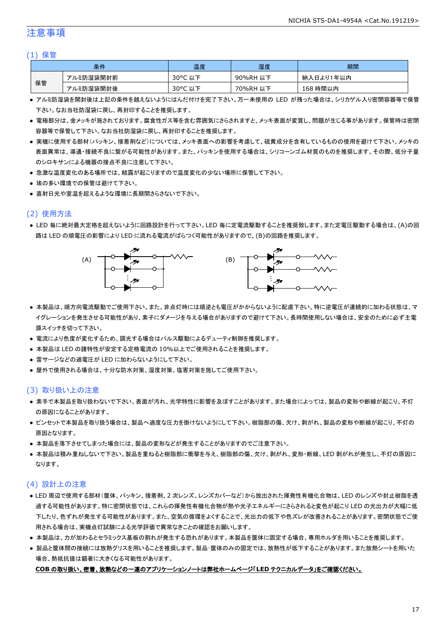## 注意事項

#### (1) 保管

| 条件 |           | 温度      | 湿度       | 期間        |
|----|-----------|---------|----------|-----------|
| 保管 | アルミ防湿袋開封前 | 30°C 以下 | 90%RH 以下 | 納入日より1年以内 |
|    | アルミ防湿袋開封後 | 30°C 以下 | 70%RH 以下 | 168 時間以内  |

- アルミ防湿袋を開封後は上記の条件を越えないようにはんだ付けを完了下さい。万一未使用の LED が残った場合は、シリカゲル入り密閉容器等で保管 下さい。なお当社防湿袋に戻し、再封印することを推奨します。
- 電極部分は、金メッキが施されております。腐食性ガス等を含む雰囲気にさらされますと、メッキ表面が変質し、問題が生じる事があります。保管時は密閉 容器等で保管して下さい。なお当社防湿袋に戻し、再封印することを推奨します。
- 実機に使用する部材(パッキン、接着剤など)については、メッキ表面への影響を考慮して、硫黄成分を含有しているものの使用を避けて下さい。メッキの 表面異常は、導通・接続不良に繋がる可能性があります。また、パッキンを使用する場合は、シリコーンゴム材質のものを推奨します。その際、低分子量 のシロキサンによる機器の接点不良に注意して下さい。
- 急激な温度変化のある場所では、結露が起こりますので温度変化の少ない場所に保管して下さい。
- 埃の多い環境での保管は避けて下さい。
- 直射日光や室温を超えるような環境に長期間さらさないで下さい。

## (2) 使用方法

● LED 毎に絶対最大定格を超えないように回路設計を行って下さい。LED 毎に定電流駆動することを推奨致します。また定電圧駆動する場合は、(A)の回 路は LED の順電圧の影響により LED に流れる電流がばらつく可能性がありますので、(B)の回路を推奨します。



- 本製品は、順方向電流駆動でご使用下さい。また、非点灯時には順逆とも電圧がかからないように配慮下さい。特に逆電圧が連続的に加わる状態は、マ イグレーションを発生させる可能性があり、素子にダメージを与える場合がありますので避けて下さい。長時間使用しない場合は、安全のために必ず主電 源スイッチを切って下さい。
- 電流により色度が変化するため、調光する場合はパルス駆動によるデューティ制御を推奨します。
- 本製品は LED の諸特性が安定する定格電流の 10%以上でご使用されることを推奨します。
- 雷サージなどの過電圧が LED に加わらないようにして下さい。
- 屋外で使用される場合は、十分な防水対策、湿度対策、塩害対策を施してご使用下さい。

### (3) 取り扱い上の注意

- 素手で本製品を取り扱わないで下さい。表面が汚れ、光学特性に影響を及ぼすことがあります。また場合によっては、製品の変形や断線が起こり、不灯 の原因になることがあります。
- ピンセットで本製品を取り扱う場合は、製品へ過度な圧力を掛けないようにして下さい。樹脂部の傷、欠け、剥がれ、製品の変形や断線が起こり、不灯の 原因となります。
- 本製品を落下させてしまった場合には、製品の変形などが発生することがありますのでご注意下さい。
- 本製品は積み重ねしないで下さい。製品を重ねると樹脂部に衝撃を与え、樹脂部の傷、欠け、剥がれ、変形・断線、LED 剥がれが発生し、不灯の原因に なります。

### (4) 設計上の注意

- LED 周辺で使用する部材(筐体、パッキン、接着剤、2 次レンズ、レンズカバーなど)から放出された揮発性有機化合物は、LED のレンズや封止樹脂を透 過する可能性があります。特に密閉状態では、これらの揮発性有機化合物が熱や光子エネルギーにさらされると変色が起こり LED の光出力が大幅に低 下したり、色ずれが発生する可能性があります。また、空気の循環をよくすることで、光出力の低下や色ズレが改善されることがあります。密閉状態でご使 用される場合は、実機点灯試験による光学評価で異常なきことの確認をお願いします。
- 本製品は、力が加わるとセラミックス基板の割れが発生する恐れがあります。本製品を筐体に固定する場合、専用ホルダを用いることを推奨します。
- 製品と筐体間の接続には放熱グリスを用いることを推奨します。製品・筐体のみの固定では、放熱性が低下することがあります。また放熱シートを用いた 場合、熱抵抗値は顕著に大きくなる可能性があります。

#### **COB** の取り扱い、密着、放熱などの一連のアプリケーションノートは弊社ホームページ「**LED** テクニカルデータ」をご確認ください。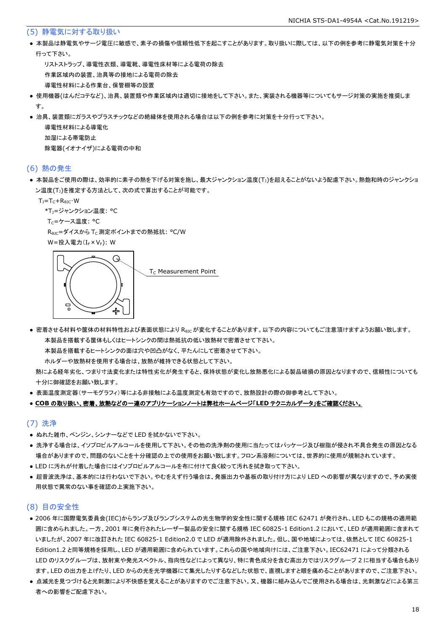#### (5) 静電気に対する取り扱い

● 本製品は静電気やサージ電圧に敏感で、素子の損傷や信頼性低下を起こすことがあります。取り扱いに際しては、以下の例を参考に静電気対策を十分 行って下さい。

 リストストラップ、導電性衣類、導電靴、導電性床材等による電荷の除去 作業区域内の装置、治具等の接地による電荷の除去 導電性材料による作業台、保管棚等の設置

- 使用機器(はんだコテなど)、治具、装置類や作業区域内は適切に接地をして下さい。また、実装される機器等についてもサージ対策の実施を推奨しま す。
- 治具、装置類にガラスやプラスチックなどの絶縁体を使用される場合は以下の例を参考に対策を十分行って下さい。

 導電性材料による導電化 加湿による帯電防止 除電器(イオナイザ)による電荷の中和

#### (6) 熱の発生

● 本製品をご使用の際は、効率的に素子の熱を下げる対策を施し、最大ジャンクション温度(T」)を超えることがないよう配慮下さい。熱飽和時のジャンクショ ン温度(T<sub>J</sub>)を推定する方法として、次の式で算出することが可能です。

 $T_J = T_C + R_{\theta JC} \cdot W$ 

```
*T<sub>1</sub>=ジャンクション温度: °C
```
T<sub>C</sub>=ケース温度: °C

R<sub>0JC</sub>=ダイスから T<sub>C</sub> 測定ポイントまでの熱抵抗: °C/W

W=投入電力(I<sub>F</sub>×V<sub>F</sub>): W



● 密着させる材料や筐体の材料特性および表面状態により R<sub>θIC</sub>が変化することがあります。以下の内容についてもご注意頂けますようお願い致します。 本製品を搭載する筐体もしくはヒートシンクの間は熱抵抗の低い放熱材で密着させて下さい。

本製品を搭載するヒートシンクの面は穴や凹凸がなく、平たんにして密着させて下さい。

ホルダーや放熱材を使用する場合は、放熱が維持できる状態として下さい。

 熱による経年劣化、つまり寸法変化または特性劣化が発生すると、保持状態が変化し放熱悪化による製品破損の原因となりますので、信頼性についても 十分に御確認をお願い致します。

● 表面温度測定器(サーモグラフィ)等による非接触による温度測定も有効ですので、放熱設計の際の御参考として下さい。

#### ● **COB** の取り扱い、密着、放熱などの一連のアプリケーションノートは弊社ホームページ「**LED** テクニカルデータ」をご確認ください。

#### (7) 洗浄

- ぬれた雑巾、ベンジン、シンナーなどで LED を拭かないで下さい。
- 洗浄する場合は、イソプロピルアルコールを使用して下さい。その他の洗浄剤の使用に当たってはパッケージ及び樹脂が侵され不具合発生の原因となる 場合がありますので、問題のないことを十分確認の上での使用をお願い致します。フロン系溶剤については、世界的に使用が規制されています。
- LED に汚れが付着した場合にはイソプロピルアルコールを布に付けて良く絞って汚れを拭き取って下さい。
- 超音波洗浄は、基本的には行わないで下さい。やむをえず行う場合は、発振出力や基板の取り付け方により LED への影響が異なりますので、予め実使 用状態で異常のない事を確認の上実施下さい。

### (8) 目の安全性

- 2006 年に国際電気委員会(IEC)からランプ及びランプシステムの光生物学的安全性に関する規格 IEC 62471 が発行され、LED もこの規格の適用範 囲に含められました。一方、2001 年に発行されたレーザー製品の安全に関する規格 IEC 60825-1 Edition1.2 において、LED が適用範囲に含まれて いましたが、2007 年に改訂された IEC 60825-1 Edition2.0 で LED が適用除外されました。但し、国や地域によっては、依然として IEC 60825-1 Edition1.2 と同等規格を採用し、LED が適用範囲に含められています。これらの国や地域向けには、ご注意下さい。IEC62471 によって分類される LED のリスクグループは、放射束や発光スペクトル、指向性などによって異なり、特に青色成分を含む高出力ではリスクグループ 2 に相当する場合もあり ます。LED の出力を上げたり、LED からの光を光学機器にて集光したりするなどした状態で、直視しますと眼を痛めることがありますので、ご注意下さい。
- 点滅光を見つづけると光刺激により不快感を覚えることがありますのでご注意下さい。又、機器に組み込んでご使用される場合は、光刺激などによる第三 者への影響をご配慮下さい。